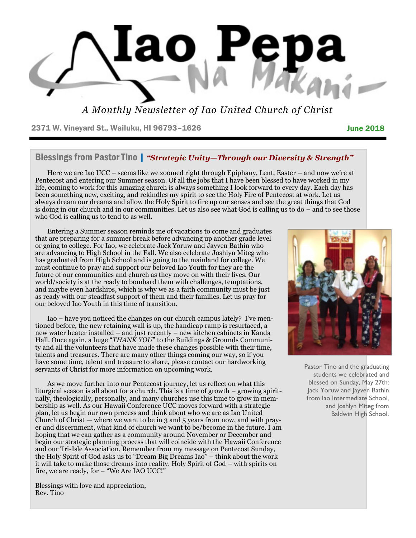

*A Monthly Newsletter of Iao United Church of Christ*

2371 W. Vineyard St., Wailuku, HI 96793-1626 **June 2018** June 2018

### Blessings from Pastor Tino | *"Strategic Unity—Through our Diversity & Strength"*

Here we are Iao UCC – seems like we zoomed right through Epiphany, Lent, Easter – and now we're at Pentecost and entering our Summer season. Of all the jobs that I have been blessed to have worked in my life, coming to work for this amazing church is always something I look forward to every day. Each day has been something new, exciting, and rekindles my spirit to see the Holy Fire of Pentecost at work. Let us always dream our dreams and allow the Holy Spirit to fire up our senses and see the great things that God is doing in our church and in our communities. Let us also see what God is calling us to do – and to see those who God is calling us to tend to as well.

Entering a Summer season reminds me of vacations to come and graduates that are preparing for a summer break before advancing up another grade level or going to college. For Iao, we celebrate Jack Yoruw and Jayven Bathin who are advancing to High School in the Fall. We also celebrate Joshlyn Miteg who has graduated from High School and is going to the mainland for college. We must continue to pray and support our beloved Iao Youth for they are the future of our communities and church as they move on with their lives. Our world/society is at the ready to bombard them with challenges, temptations, and maybe even hardships, which is why we as a faith community must be just as ready with our steadfast support of them and their families. Let us pray for our beloved Iao Youth in this time of transition.

Iao – have you noticed the changes on our church campus lately? I've mentioned before, the new retaining wall is up, the handicap ramp is resurfaced, a new water heater installed – and just recently – new kitchen cabinets in Kanda Hall. Once again, a huge "*THANK YOU*" to the Buildings & Grounds Community and all the volunteers that have made these changes possible with their time, talents and treasures. There are many other things coming our way, so if you have some time, talent and treasure to share, please contact our hardworking servants of Christ for more information on upcoming work.

As we move further into our Pentecost journey, let us reflect on what this liturgical season is all about for a church. This is a time of growth – growing spiritually, theologically, personally, and many churches use this time to grow in membership as well. As our Hawaii Conference UCC moves forward with a strategic plan, let us begin our own process and think about who we are as Iao United Church of Christ — where we want to be in 3 and 5 years from now, and with prayer and discernment, what kind of church we want to be/become in the future. I am hoping that we can gather as a community around November or December and begin our strategic planning process that will coincide with the Hawaii Conference and our Tri-Isle Association. Remember from my message on Pentecost Sunday, the Holy Spirit of God asks us to "Dream Big Dreams Iao" – think about the work it will take to make those dreams into reality. Holy Spirit of God – with spirits on fire, we are ready, for – "We Are IAO UCC!"

Blessings with love and appreciation, Rev. Tino



Pastor Tino and the graduating students we celebrated and blessed on Sunday, May 27th: Jack Yoruw and Jayven Bathin from Iao Intermediate School, and Joshlyn Miteg from Baldwin High School.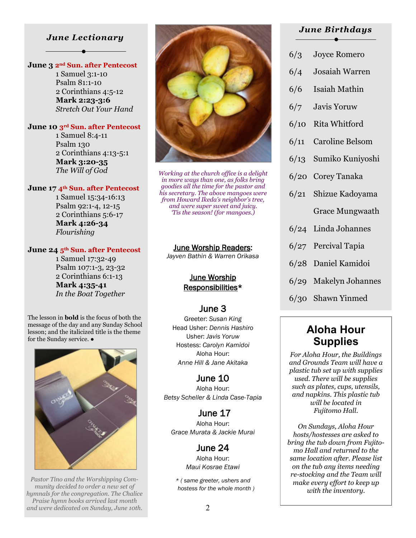### *June Lectionary*

### **June 3 2nd Sun. after Pentecost**

 1 Samuel 3:1-10 Psalm 81:1-10 2 Corinthians 4:5-12  **Mark 2:23-3:6** *Stretch Out Your Hand*

#### **June 10 3rd Sun. after Pentecost**

 1 Samuel 8:4-11 Psalm 130 2 Corinthians 4:13-5:1  **Mark 3:20-35** *The Will of God*

#### **June 17 4th Sun. after Pentecost**

 1 Samuel 15:34-16:13 Psalm 92:1-4, 12-15 2 Corinthians 5:6-17  **Mark 4:26-34** *Flourishing*

#### **June 24 5th Sun. after Pentecost**

 1 Samuel 17:32-49 Psalm 107:1-3, 23-32 2 Corinthians 6:1-13  **Mark 4:35-41** *In the Boat Together*

The lesson in **bold** is the focus of both the message of the day and any Sunday School lesson; and the italicized title is the theme for the Sunday service.  $\bullet$ 



*Pastor Tino and the Worshipping Community decided to order a new set of hymnals for the congregation. The Chalice Praise hymn books arrived last month and were dedicated on Sunday, June 10th.*



*Working at the church office is a delight in more ways than one, as folks bring goodies all the time for the pastor and his secretary. The above mangoes were from Howard Ikeda's neighbor's tree, and were super sweet and juicy. 'Tis the season! (for mangoes.)*

#### June Worship Readers:

*Jayven Bathin & Warren Orikasa* 

### June Worship Responsibilities\*

### June 3

Greeter: *Susan King* Head Usher: *Dennis Hashiro* Usher: *Javis Yoruw* Hostess: *Carolyn Kamidoi* Aloha Hour: *Anne Hill & Jane Akitaka* 

June 10 Aloha Hour: *Betsy Scheller & Linda Case-Tapia* 

 June 17 Aloha Hour: *Grace Murata & Jackie Murai* 

### June 24

Aloha Hour: *Maui Kosrae Etawi* 

*\* ( same greeter, ushers and hostess for the whole month )* 

### *June Birthdays*

- 6/3 Joyce Romero
- 6/4 Josaiah Warren
- 6/6 Isaiah Mathin
- 6/7 Javis Yoruw
- 6/10 Rita Whitford
- 6/11 Caroline Belsom
- 6/13 Sumiko Kuniyoshi
- 6/20 Corey Tanaka
- 6/21 Shizue Kadoyama Grace Mungwaath
- 6/24 Linda Johannes
- 6/27 Percival Tapia
- 6/28 Daniel Kamidoi
- 6/29 Makelyn Johannes
- 6/30 Shawn Yinmed

# **Aloha Hour Supplies**

*For Aloha Hour, the Buildings and Grounds Team will have a plastic tub set up with supplies used. There will be supplies such as plates, cups, utensils, and napkins. This plastic tub will be located in Fujitomo Hall.* 

*On Sundays, Aloha Hour hosts/hostesses are asked to bring the tub down from Fujitomo Hall and returned to the same location after. Please list on the tub any items needing re-stocking and the Team will make every effort to keep up with the inventory.*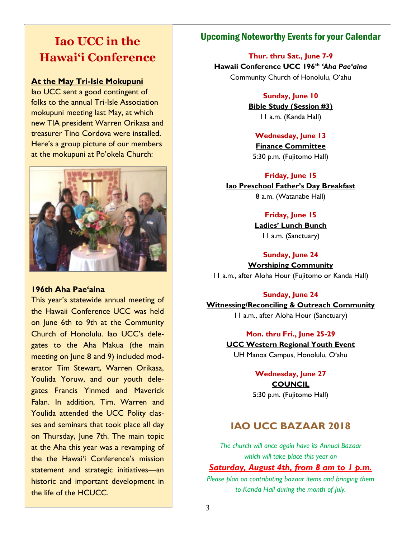# **Iao UCC in the Hawai'i Conference**

### **At the May Tri-Isle Mokupuni**

Iao UCC sent a good contingent of folks to the annual Tri-Isle Association mokupuni meeting last May, at which new TIA president Warren Orikasa and treasurer Tino Cordova were installed. Here's a group picture of our members at the mokupuni at Po'okela Church:



### **196th Aha Pae'aina**

This year's statewide annual meeting of the Hawaii Conference UCC was held on June 6th to 9th at the Community Church of Honolulu. Iao UCC's delegates to the Aha Makua (the main meeting on June 8 and 9) included moderator Tim Stewart, Warren Orikasa, Youlida Yoruw, and our youth delegates Francis Yinmed and Maverick Falan. In addition, Tim, Warren and Youlida attended the UCC Polity classes and seminars that took place all day on Thursday, June 7th. The main topic at the Aha this year was a revamping of the the Hawai'i Conference's mission statement and strategic initiatives—an historic and important development in the life of the HCUCC.

### Upcoming Noteworthy Events for your Calendar

**Thur. thru Sat., June 7-9 Hawaii Conference UCC 196th** *'Aha Pae'aina* Community Church of Honolulu, O'ahu

### **Sunday, June 10**

**Bible Study (Session #3)**  11 a.m. (Kanda Hall)

### **Wednesday, June 13**

**Finance Committee** 5:30 p.m. (Fujitomo Hall)

**Friday, June 15 Iao Preschool Father's Day Breakfast** 8 a.m. (Watanabe Hall)

### **Friday, June 15**

**Ladies' Lunch Bunch** 11 a.m. (Sanctuary)

### **Sunday, June 24**

**Worshiping Community** 11 a.m., after Aloha Hour (Fujitomo or Kanda Hall)

### **Sunday, June 24**

**Witnessing/Reconciling & Outreach Community** 11 a.m., after Aloha Hour (Sanctuary)

> **Mon. thru Fri., June 25-29 UCC Western Regional Youth Event**  UH Manoa Campus, Honolulu, O'ahu

> > **Wednesday, June 27 COUNCIL** 5:30 p.m. (Fujitomo Hall)

## **IAO UCC BAZAAR 2018**

*The church will once again have its Annual Bazaar which will take place this year on* 

### *Saturday, August 4th, from 8 am to 1 p.m.*

*Please plan on contributing bazaar items and bringing them to Kanda Hall during the month of July.*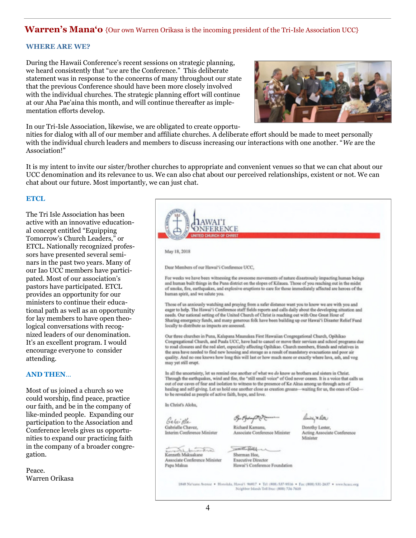### **Warren's Mana'o** {Our own Warren Orikasa is the incoming president of the Tri-Isle Association UCC}

#### **WHERE ARE WE?**

During the Hawaii Conference's recent sessions on strategic planning, we heard consistently that "*we* are the Conference." This deliberate statement was in response to the concerns of many throughout our state that the previous Conference should have been more closely involved with the individual churches. The strategic planning effort will continue at our Aha Pae'aina this month, and will continue thereafter as implementation efforts develop.

In our Tri-Isle Association, likewise, we are obligated to create opportu-



nities for dialog with all of our member and affiliate churches. A deliberate effort should be made to meet personally with the individual church leaders and members to discuss increasing our interactions with one another. "*We* are the Association!"

It is my intent to invite our sister/brother churches to appropriate and convenient venues so that we can chat about our UCC denomination and its relevance to us. We can also chat about our perceived relationships, existent or not. We can chat about our future. Most importantly, we can just chat.

#### **ETCL**

The Tri Isle Association has been active with an innovative educational concept entitled "Equipping Tomorrow's Church Leaders," or ETCL. Nationally recognized professors have presented several seminars in the past two years. Many of our Iao UCC members have participated. Most of our association's pastors have participated. ETCL provides an opportunity for our ministers to continue their educational path as well as an opportunity for lay members to have open theological conversations with recognized leaders of our denomination. It's an excellent program. I would encourage everyone to consider attending.

#### **AND THEN**…

Most of us joined a church so we could worship, find peace, practice our faith, and be in the company of like-minded people. Expanding our participation to the Association and Conference levels gives us opportunities to expand our practicing faith in the company of a broader congregation.

Peace. Warren Orikasa

| <b>TED CHURCH OF CHRIST</b>                                                                             | FERENCE                                                                                                                                                                                                                       |                                                                                                                  |
|---------------------------------------------------------------------------------------------------------|-------------------------------------------------------------------------------------------------------------------------------------------------------------------------------------------------------------------------------|------------------------------------------------------------------------------------------------------------------|
|                                                                                                         |                                                                                                                                                                                                                               |                                                                                                                  |
| May 18, 2018                                                                                            |                                                                                                                                                                                                                               |                                                                                                                  |
|                                                                                                         |                                                                                                                                                                                                                               |                                                                                                                  |
| Dear Members of our Hawai'i Conference UCC,                                                             |                                                                                                                                                                                                                               |                                                                                                                  |
|                                                                                                         |                                                                                                                                                                                                                               | For weeks we have been witnessing the awesome movements of nature disastrously impacting human beings            |
|                                                                                                         | and human built things in the Puna district on the slopes of Kilauea. Those of you reaching out in the midst<br>of smoke, fire, earthquakes, and explosive eruptions to care for those immediately affected are heroes of the |                                                                                                                  |
| human spirit, and we salute you.                                                                        |                                                                                                                                                                                                                               |                                                                                                                  |
|                                                                                                         | Those of us anxiously watching and praying from a safer distance want you to know we are with you and                                                                                                                         |                                                                                                                  |
|                                                                                                         | eager to help. The Hawai'i Conference staff fields reports and calls daily about the developing situation and                                                                                                                 |                                                                                                                  |
|                                                                                                         | needs. Our national setting of the United Church of Christ is reaching out with One Great Hour of<br>Sharing emergency funds, and many generous folk have been building up our Hawai'i Disaster Relief Fund                   |                                                                                                                  |
| locally to distribute as impacts are assessed.                                                          |                                                                                                                                                                                                                               |                                                                                                                  |
|                                                                                                         | Our three churches in Puna, Kalapana Maunakea First Hawaiian Congregational Church, Opihikao                                                                                                                                  |                                                                                                                  |
|                                                                                                         | to road closures and the red alert, especially affecting Opihikao. Church members, friends and relatives in                                                                                                                   | Congregational Church, and Puula UCC, have had to cancel or move their services and school programs due          |
|                                                                                                         | the area have needed to find new housing and storage as a result of mandatory evacuations and poor air                                                                                                                        |                                                                                                                  |
| may yet still erupt.                                                                                    | quality. And no one knows how long this will last or how much more or exactly where lava, ash, and vog                                                                                                                        |                                                                                                                  |
|                                                                                                         |                                                                                                                                                                                                                               |                                                                                                                  |
|                                                                                                         |                                                                                                                                                                                                                               |                                                                                                                  |
| In all the uncertainty, let us remind one another of what we do know as brothers and sisters in Christ. |                                                                                                                                                                                                                               |                                                                                                                  |
|                                                                                                         | out of our caves of fear and isolation to witness to the presence of Ke Akua among us through acts of                                                                                                                         | Through the earthquakes, wind and fire, the "still small voice" of God never ceases. It is a voice that calls us |
|                                                                                                         |                                                                                                                                                                                                                               | healing and self-giving. Let us hold one another close as creation groans-waiting for us, the ones of God-       |
| to be revealed as people of active faith, hope, and love.                                               |                                                                                                                                                                                                                               |                                                                                                                  |
| In Christ's Aloha,                                                                                      |                                                                                                                                                                                                                               |                                                                                                                  |
|                                                                                                         |                                                                                                                                                                                                                               | Bridge & Patter                                                                                                  |
| Galni Ale<br>Gabrielle Chavez.                                                                          | Op Boy O<br>Richard Kamarra,                                                                                                                                                                                                  |                                                                                                                  |
| Interim Conference Minister                                                                             | Associate Conference Minister                                                                                                                                                                                                 | Dorothy Lester,<br>Acting Associate Conference<br>Minister                                                       |
| anticipation before                                                                                     | $\mathcal{L} = \{ \mathcal{L} \in \mathcal{L} \} \cup \{ \mathcal{L} \}$                                                                                                                                                      |                                                                                                                  |
| Kenneth Makuakane                                                                                       | Sherman Hoc.                                                                                                                                                                                                                  |                                                                                                                  |
| Associate Conference Minister<br>Papa Makua                                                             | Executive Director<br>Hawai'i Conference Foundation                                                                                                                                                                           |                                                                                                                  |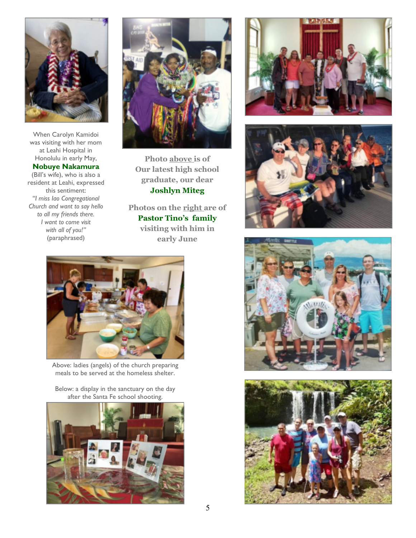

When Carolyn Kamidoi was visiting with her mom at Leahi Hospital in Honolulu in early May,

#### **Nobuye Nakamura**

(Bill's wife), who is also a resident at Leahi, expressed this sentiment: *"I miss Iao Congregational Church and want to say hello to all my friends there. I want to come visit with all of you!"* (paraphrased)



**Photo above is of Our latest high school graduate, our dear Joshlyn Miteg**

**Photos on the right are of Pastor Tino's family visiting with him in early June**



Above: ladies (angels) of the church preparing meals to be served at the homeless shelter.

Below: a display in the sanctuary on the day after the Santa Fe school shooting.









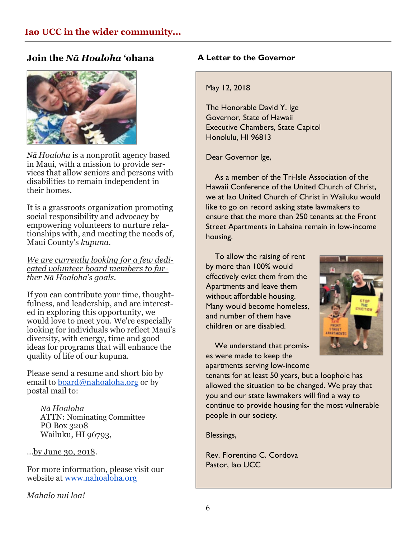### **Join the** *Nā Hoaloha* **'ohana**



*Nā Hoaloha* is a nonprofit agency based in Maui, with a mission to provide services that allow seniors and persons with disabilities to remain independent in their homes.

It is a grassroots organization promoting social responsibility and advocacy by empowering volunteers to nurture relationships with, and meeting the needs of, Maui County's *kupuna*.

*We are currently looking for a few dedicated volunteer board members to further Nā Hoaloha's goals.* 

If you can contribute your time, thoughtfulness, and leadership, and are interested in exploring this opportunity, we would love to meet you. We're especially looking for individuals who reflect Maui's diversity, with energy, time and good ideas for programs that will enhance the quality of life of our kupuna.

Please send a resume and short bio by email to [board@nahoaloha.org](mailto:Board@nahoaloha.org) or by postal mail to:

 *Nā Hoaloha*  ATTN: Nominating Committee PO Box 3208 Wailuku, HI 96793,

...by June 30, 2018.

For more information, please visit our website at [www.nahoaloha.org](http://www.nahoaloha.org/)

*Mahalo nui loa!*

### **A Letter to the Governor**

### May 12, 2018

The Honorable David Y. Ige Governor, State of Hawaii Executive Chambers, State Capitol Honolulu, HI 96813

Dear Governor Ige,

 As a member of the Tri-Isle Association of the Hawaii Conference of the United Church of Christ, we at Iao United Church of Christ in Wailuku would like to go on record asking state lawmakers to ensure that the more than 250 tenants at the Front Street Apartments in Lahaina remain in low-income housing.

 To allow the raising of rent by more than 100% would effectively evict them from the Apartments and leave them without affordable housing. Many would become homeless, and number of them have children or are disabled.



 We understand that promises were made to keep the apartments serving low-income

tenants for at least 50 years, but a loophole has allowed the situation to be changed. We pray that you and our state lawmakers will find a way to continue to provide housing for the most vulnerable people in our society.

Blessings,

Rev. Florentino C. Cordova Pastor, Iao UCC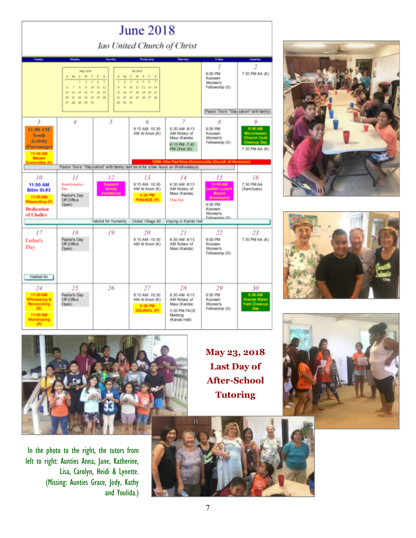| <b>June 2018</b>                                                                                                                                                                                                                                                                                                                                                     |                                                                 |                                       |                                                                         |                                                                                          |                                                                                                |                                                                                           |  |  |
|----------------------------------------------------------------------------------------------------------------------------------------------------------------------------------------------------------------------------------------------------------------------------------------------------------------------------------------------------------------------|-----------------------------------------------------------------|---------------------------------------|-------------------------------------------------------------------------|------------------------------------------------------------------------------------------|------------------------------------------------------------------------------------------------|-------------------------------------------------------------------------------------------|--|--|
| Iao United Church of Christ                                                                                                                                                                                                                                                                                                                                          |                                                                 |                                       |                                                                         |                                                                                          |                                                                                                |                                                                                           |  |  |
| Sunday                                                                                                                                                                                                                                                                                                                                                               | Monday                                                          | Tooutan                               | <b>Wednesday</b>                                                        | <b>Thursday</b>                                                                          | Friday                                                                                         | Saturday                                                                                  |  |  |
| <b>Ad 2016</b><br>May 2018<br>TWT<br>TWTFS<br>F<br>M.<br>$\overline{\mathbf{x}}$<br>×<br><b>SI</b><br>12 13 14<br>ń.<br>×<br>$\frac{1}{2}$<br>90<br>11 12<br>×<br>g.<br>$\mathbb{H}$<br>10<br>18<br>16<br>17<br>16 19<br>15<br>16<br>17<br>18 19 20 21<br>13<br>14<br>23 28 25 26 27 28<br><b>in</b><br>21 22 29 24 25 26<br>$22 -$<br>29 30 31<br>59<br>28 29 30 31 |                                                                 |                                       |                                                                         |                                                                                          | 1<br>6:00 PM<br>Kosraen<br>Women's<br>Fellowship (S)                                           | 2<br>7:30 PM AA (K)<br>Pastor Tino's "Staycation" with family                             |  |  |
|                                                                                                                                                                                                                                                                                                                                                                      |                                                                 |                                       |                                                                         | 7                                                                                        |                                                                                                |                                                                                           |  |  |
| 3<br>11:00 AM<br><b>Youth</b><br>Activity<br>(Parsonage)<br>11:00 AM<br>Bazaar                                                                                                                                                                                                                                                                                       | 4                                                               | 5                                     | 6<br>9:15 AM -10:30<br>AM AI Anon (K)                                   | 6:30 AM -8:15<br>AM Rotary of<br>Maui (Kanda)<br>6:15 PM -7:45<br>PM Chair (S)           | 8<br>6:00 PM<br>Kosraen<br>Women's<br>Fellowship (S)                                           | 9<br>8:00 AM<br>Micronesian<br><b>Church Yard</b><br><b>Cleanup Day</b><br>7:30 PM AA (K) |  |  |
| mmittee (I                                                                                                                                                                                                                                                                                                                                                           |                                                                 |                                       |                                                                         | Aha Pae'Aina (Community Church of Honolulu)                                              |                                                                                                |                                                                                           |  |  |
| Pastor Tino's "Staycation" with family (will be in for a few hours on Wednesdays)                                                                                                                                                                                                                                                                                    |                                                                 |                                       |                                                                         |                                                                                          |                                                                                                |                                                                                           |  |  |
| 10<br>11:00 AM<br><b>Bible St.#3</b><br>11:00 AM<br>Stewarding (F)<br><b>Dedication</b><br>of Chalice                                                                                                                                                                                                                                                                | П<br>Kamehameha<br>Day<br>Pastor's Day<br>Off (Office)<br>Open) | 12<br>Support<br>Group<br>Visitations | 13<br>9:15 AM -10:30<br>AM AI Anon (K)<br>5:30 PM<br><b>FINANCE (F)</b> | 14<br>6:30 AM -8:15<br>AM Rotary of<br>Maui (Kanda)<br>Flag Day                          | 15<br><b>MA 00:55</b><br>adies' Lunch<br>Bunch<br>(Banctuary)<br>6:00 PM<br>Kosraen<br>Women's | 16<br>7:30 PM AA<br>(Sanctuary)                                                           |  |  |
| Fellowship (S)<br>Habitat for Humanity -- Global Village #2 -- staying in Kanda Hall                                                                                                                                                                                                                                                                                 |                                                                 |                                       |                                                                         |                                                                                          |                                                                                                |                                                                                           |  |  |
| 17<br>Father's<br>Day<br>Habitat for                                                                                                                                                                                                                                                                                                                                 | 18<br>Pastor's Day<br>Off (Office)<br>Open)                     | 19                                    | 20<br>9:15 AM -10:30<br>AM AI Anon (K)                                  | 21<br>6:30 AM -8:15<br>AM Rotary of<br>Maui (Kanda)                                      | 22<br>6:00 PM<br>Kosraen<br><b>Women's</b><br>Fellowship (S)                                   | 23<br>7:30 PM AA (K)                                                                      |  |  |
| 24                                                                                                                                                                                                                                                                                                                                                                   | 25                                                              | 26                                    | 27                                                                      | 28                                                                                       | 29                                                                                             | 30                                                                                        |  |  |
| 11:00 AM<br><b>Witnessing &amp;</b><br>Reconciling<br>(5)<br>11:00 AM<br>Worshiping                                                                                                                                                                                                                                                                                  | Pastor's Day<br>Off (Office)<br>Open)                           |                                       | 9:15 AM -10:30<br>AM AI Anon (K)<br>5:30 PM<br><b>COUNCIL (F)</b>       | 6:30 AM -8:15<br>AM Rotary of<br>Maui (Kanda)<br>5:30 PM FACE<br>Meeting<br>(Kanda Hall) | 6:00 PM<br>Kosraen<br><b>Women's</b><br>Fellowship (S)                                         | 8:00 AM<br>Cosrae Etawi<br>ard Cleanup<br>Day                                             |  |  |







In the photo to the right, the tutors from left to right: Aunties Anna, Jane, Katherine, Lisa, Carolyn, Heidi & Lynette. (Missing: Aunties Grace, Jody, Kathy and Youlida.)

**May 23, 2018 Last Day of After-School Tutoring**